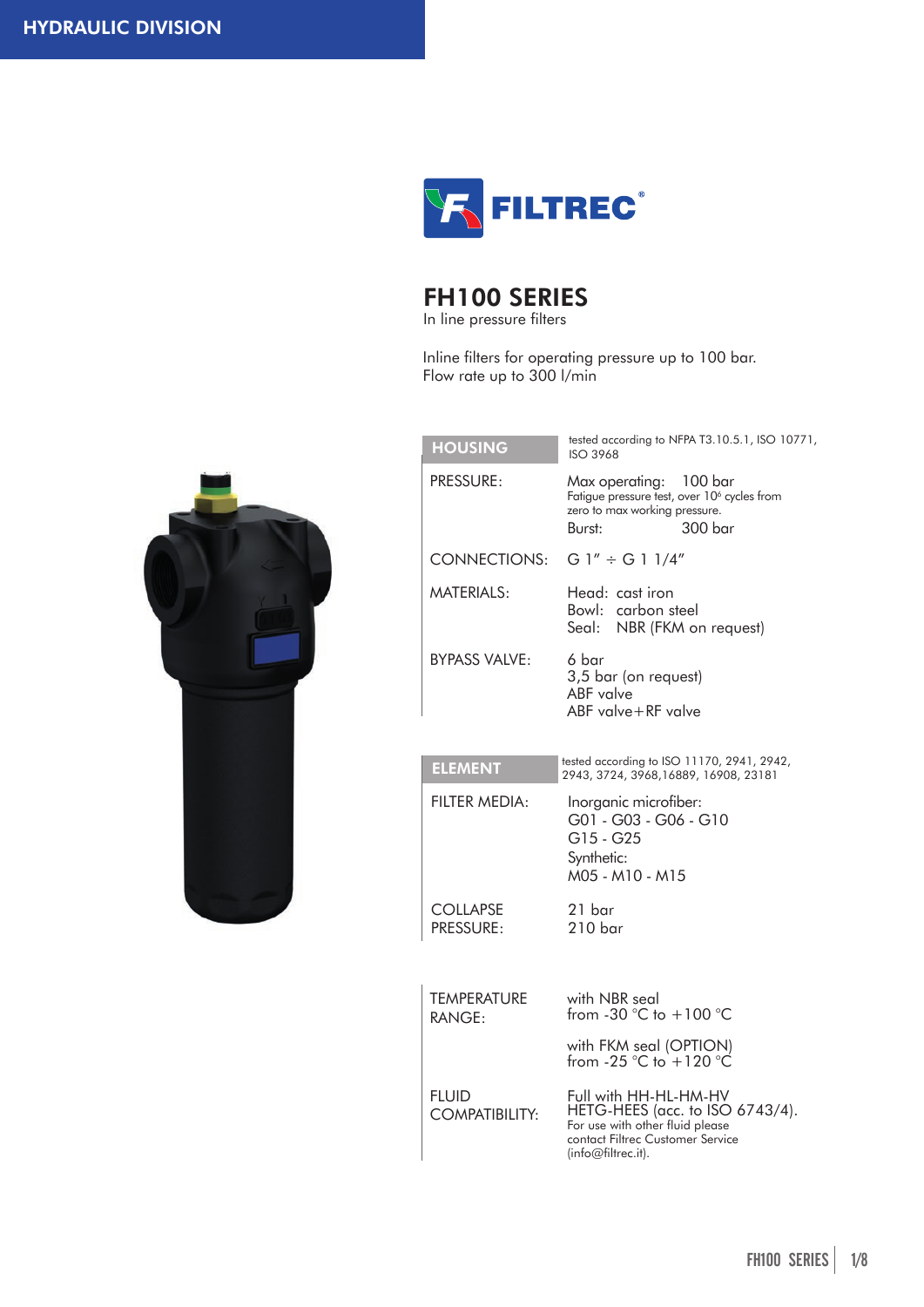

# FH100 SERIES

In line pressure filters

Inline filters for operating pressure up to 100 bar. Flow rate up to 300 l/min



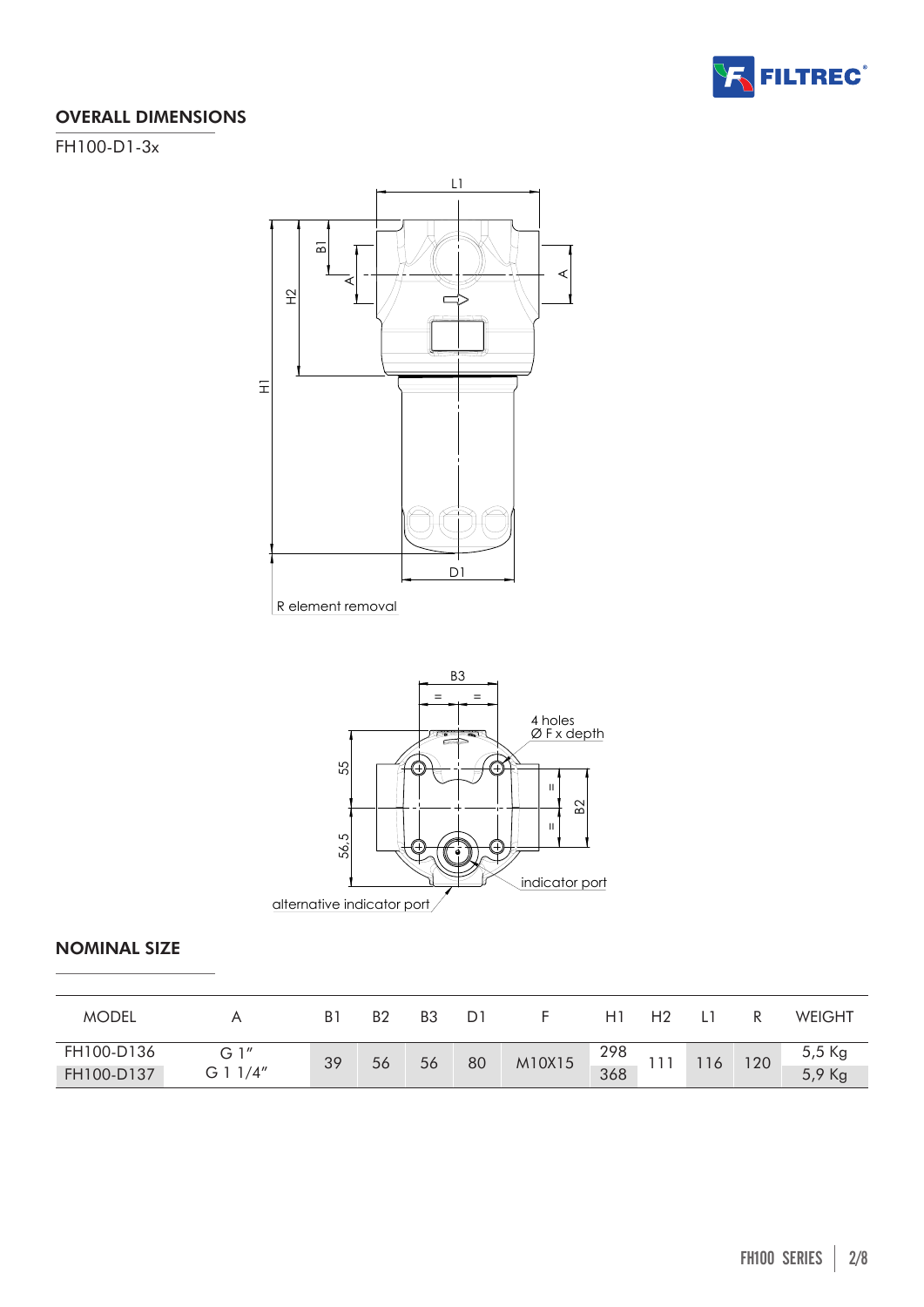

## OVERALL DIMENSIONS

FH100-D1-3x





## NOMINAL SIZE

| <b>MODEL</b> |            | Β1 | B <sub>2</sub> | B3 |    |        | H1. | H <sub>2</sub> |     |     | WEIGHT |
|--------------|------------|----|----------------|----|----|--------|-----|----------------|-----|-----|--------|
| FH100-D136   | G1''       | 39 | 56             | 56 | 80 | M10X15 | 298 |                | 116 | 120 | 5,5 Kg |
| FH100-D137   | G 1 $1/4"$ |    |                |    |    |        | 368 |                |     |     | 5,9 Kg |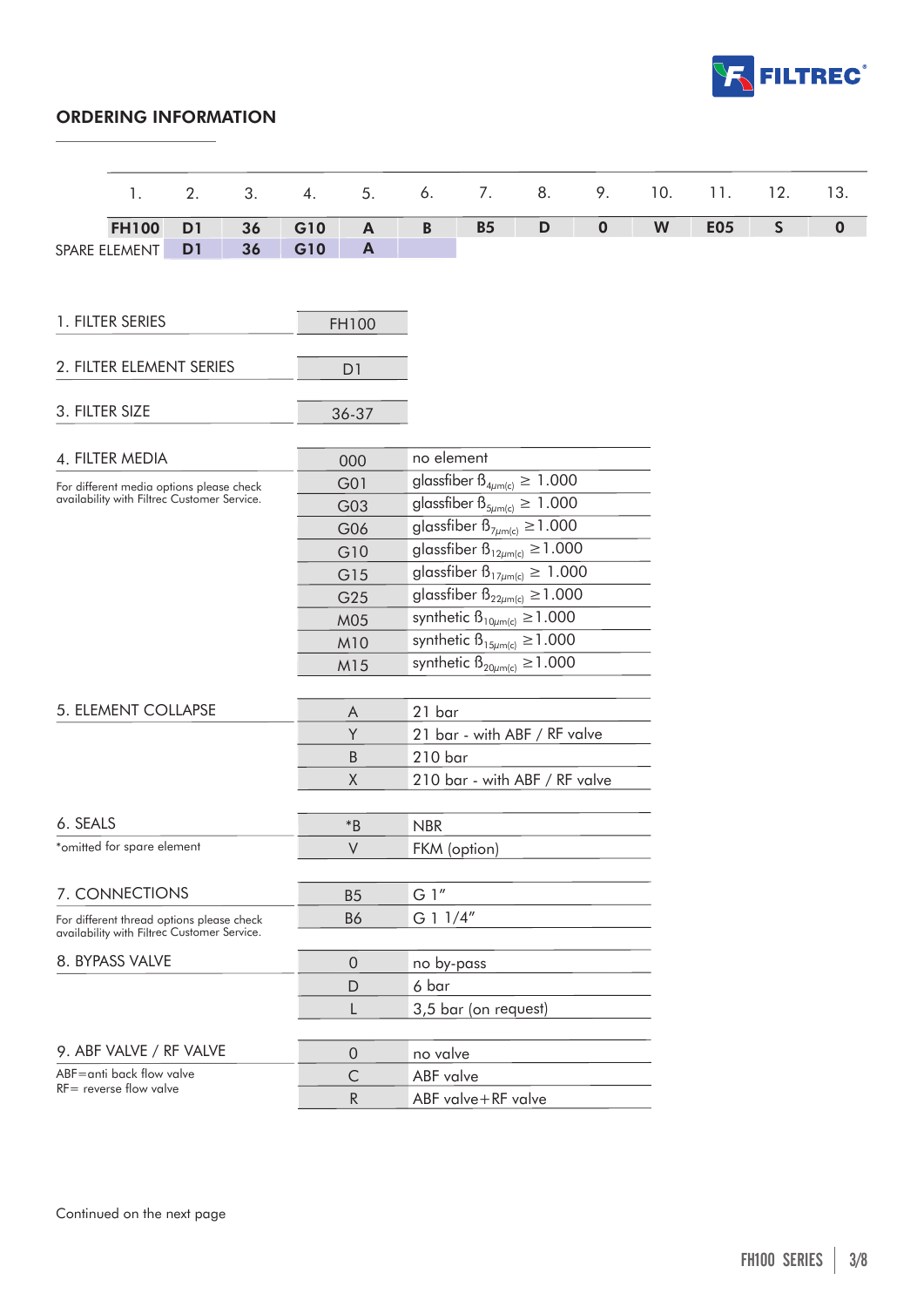

## ORDERING INFORMATION

|                                                                                                            | 1.                                                                                      | 2.             | 3. | 4.        | 5.                   | 6.           | 7.                                                                                | 8.          | 9.        | 10. | 11.        | 12.          | 13.         |
|------------------------------------------------------------------------------------------------------------|-----------------------------------------------------------------------------------------|----------------|----|-----------|----------------------|--------------|-----------------------------------------------------------------------------------|-------------|-----------|-----|------------|--------------|-------------|
|                                                                                                            | <b>FH100</b>                                                                            | D <sub>1</sub> | 36 | G10       | $\mathbf{A}$         | $\, {\bf B}$ | <b>B5</b>                                                                         | $\mathbf D$ | $\pmb{0}$ | W   | <b>E05</b> | $\mathsf{S}$ | $\mathbf 0$ |
|                                                                                                            | SPARE ELEMENT                                                                           | D <sub>1</sub> | 36 | G10       | $\overline{A}$       |              |                                                                                   |             |           |     |            |              |             |
|                                                                                                            |                                                                                         |                |    |           |                      |              |                                                                                   |             |           |     |            |              |             |
|                                                                                                            |                                                                                         |                |    |           |                      |              |                                                                                   |             |           |     |            |              |             |
|                                                                                                            | 1. FILTER SERIES                                                                        |                |    |           | FH100                |              |                                                                                   |             |           |     |            |              |             |
|                                                                                                            |                                                                                         |                |    |           |                      |              |                                                                                   |             |           |     |            |              |             |
|                                                                                                            | 2. FILTER ELEMENT SERIES                                                                |                |    |           | D <sub>1</sub>       |              |                                                                                   |             |           |     |            |              |             |
|                                                                                                            |                                                                                         |                |    |           |                      |              |                                                                                   |             |           |     |            |              |             |
|                                                                                                            | 3. FILTER SIZE                                                                          |                |    |           | 36-37                |              |                                                                                   |             |           |     |            |              |             |
|                                                                                                            |                                                                                         |                |    |           |                      |              |                                                                                   |             |           |     |            |              |             |
|                                                                                                            | 4. FILTER MEDIA                                                                         |                |    |           | 000                  | no element   |                                                                                   |             |           |     |            |              |             |
|                                                                                                            | For different media options please check<br>availability with Filtrec Customer Service. |                |    |           | G01                  |              | glassfiber $\beta_{4\mu m(c)} \geq 1.000$                                         |             |           |     |            |              |             |
|                                                                                                            |                                                                                         |                |    |           | G03                  |              | glassfiber $\beta_{5\mu m(c)} \geq 1.000$<br>glassfiber $B_{7\mu m(c)} \ge 1.000$ |             |           |     |            |              |             |
|                                                                                                            |                                                                                         |                |    |           | G06                  |              | glassfiber $\beta_{12\mu m(c)} \ge 1.000$                                         |             |           |     |            |              |             |
|                                                                                                            |                                                                                         |                |    |           | G10<br>G15           |              | glassfiber $\beta_{17\mu m(c)} \geq 1.000$                                        |             |           |     |            |              |             |
|                                                                                                            |                                                                                         |                |    |           | G25                  |              | glassfiber $\beta_{22\mu m(c)} \ge 1.000$                                         |             |           |     |            |              |             |
|                                                                                                            |                                                                                         |                |    |           | M05                  |              | synthetic $\beta_{10\mu m(c)} \ge 1.000$                                          |             |           |     |            |              |             |
|                                                                                                            |                                                                                         |                |    |           | <b>M10</b>           |              | synthetic $\beta_{15\mu m(c)} \ge 1.000$                                          |             |           |     |            |              |             |
|                                                                                                            |                                                                                         |                |    |           | M15                  |              | synthetic $\beta_{20\mu m(c)} \ge 1.000$                                          |             |           |     |            |              |             |
|                                                                                                            |                                                                                         |                |    |           |                      |              |                                                                                   |             |           |     |            |              |             |
|                                                                                                            | 5. ELEMENT COLLAPSE                                                                     |                |    |           | A                    | 21 bar       |                                                                                   |             |           |     |            |              |             |
|                                                                                                            |                                                                                         |                |    |           | Y                    |              | 21 bar - with ABF / RF valve                                                      |             |           |     |            |              |             |
|                                                                                                            |                                                                                         |                |    |           | $\sf B$              | 210 bar      |                                                                                   |             |           |     |            |              |             |
|                                                                                                            |                                                                                         |                |    |           | $\mathsf X$          |              | 210 bar - with ABF / RF valve                                                     |             |           |     |            |              |             |
|                                                                                                            |                                                                                         |                |    |           |                      |              |                                                                                   |             |           |     |            |              |             |
| 6. SEALS                                                                                                   |                                                                                         |                |    |           | $\mathbf{^{\ast }B}$ | <b>NBR</b>   |                                                                                   |             |           |     |            |              |             |
|                                                                                                            | *omitted for spare element                                                              |                |    |           | $\bigvee$            |              | FKM (option)                                                                      |             |           |     |            |              |             |
|                                                                                                            |                                                                                         |                |    |           |                      |              |                                                                                   |             |           |     |            |              |             |
| 7. CONNECTIONS<br>For different thread options please check<br>availability with Filtrec Customer Service. |                                                                                         |                |    | <b>B5</b> | G 1"                 |              |                                                                                   |             |           |     |            |              |             |
|                                                                                                            |                                                                                         |                |    | <b>B6</b> | G 1 1/4"             |              |                                                                                   |             |           |     |            |              |             |
|                                                                                                            | 8. BYPASS VALVE                                                                         |                |    |           | $\overline{0}$       | no by-pass   |                                                                                   |             |           |     |            |              |             |
|                                                                                                            |                                                                                         |                |    |           | D                    | 6 bar        |                                                                                   |             |           |     |            |              |             |
|                                                                                                            |                                                                                         |                |    |           | L                    |              | 3,5 bar (on request)                                                              |             |           |     |            |              |             |
|                                                                                                            |                                                                                         |                |    |           |                      |              |                                                                                   |             |           |     |            |              |             |
|                                                                                                            | 9. ABF VALVE / RF VALVE                                                                 |                |    |           | $\boldsymbol{0}$     | no valve     |                                                                                   |             |           |     |            |              |             |
|                                                                                                            | ABF=anti back flow valve                                                                |                |    |           | C                    | ABF valve    |                                                                                   |             |           |     |            |              |             |
| RF= reverse flow valve                                                                                     |                                                                                         |                |    |           | $\mathsf R$          |              | ABF valve+RF valve                                                                |             |           |     |            |              |             |
|                                                                                                            |                                                                                         |                |    |           |                      |              |                                                                                   |             |           |     |            |              |             |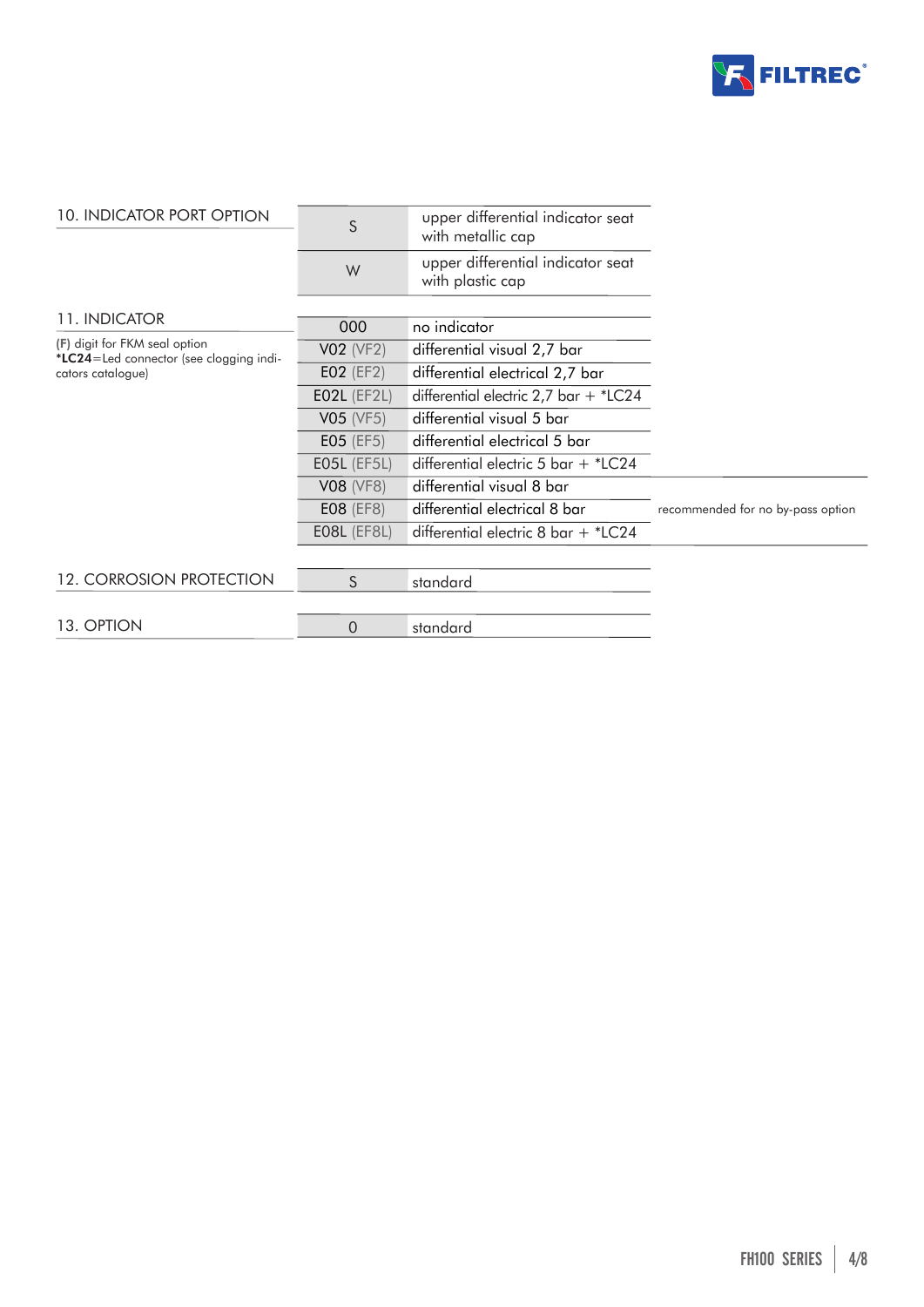

| 10. INDICATOR PORT OPTION                                    | S                | upper differential indicator seat<br>with metallic cap |                                   |
|--------------------------------------------------------------|------------------|--------------------------------------------------------|-----------------------------------|
|                                                              | W                | upper differential indicator seat<br>with plastic cap  |                                   |
| 11. INDICATOR                                                | 000              |                                                        |                                   |
| (F) digit for FKM seal option                                | V02 (VF2)        | no indicator<br>differential visual 2,7 bar            |                                   |
| *LC24=Led connector (see clogging indi-<br>cators catalogue) | $E02$ (EF2)      | differential electrical 2,7 bar                        |                                   |
|                                                              | $EO2L$ (EF2L)    | differential electric $2,7$ bar + *LC24                |                                   |
|                                                              | V05 (VF5)        | differential visual 5 bar                              |                                   |
|                                                              | $E05$ (EF5)      | differential electrical 5 bar                          |                                   |
|                                                              | $EO5L$ (EF5L)    | differential electric 5 bar + *LC24                    |                                   |
|                                                              | <b>V08 (VF8)</b> | differential visual 8 bar                              |                                   |
|                                                              | $E08$ (EF8)      | differential electrical 8 bar                          | recommended for no by-pass option |
|                                                              | EO8L (EF8L)      | differential electric 8 bar + *LC24                    |                                   |
|                                                              |                  |                                                        |                                   |
| 12. CORROSION PROTECTION                                     | S.               | standard                                               |                                   |
|                                                              |                  |                                                        |                                   |
| 13. OPTION                                                   | 0                | standard                                               |                                   |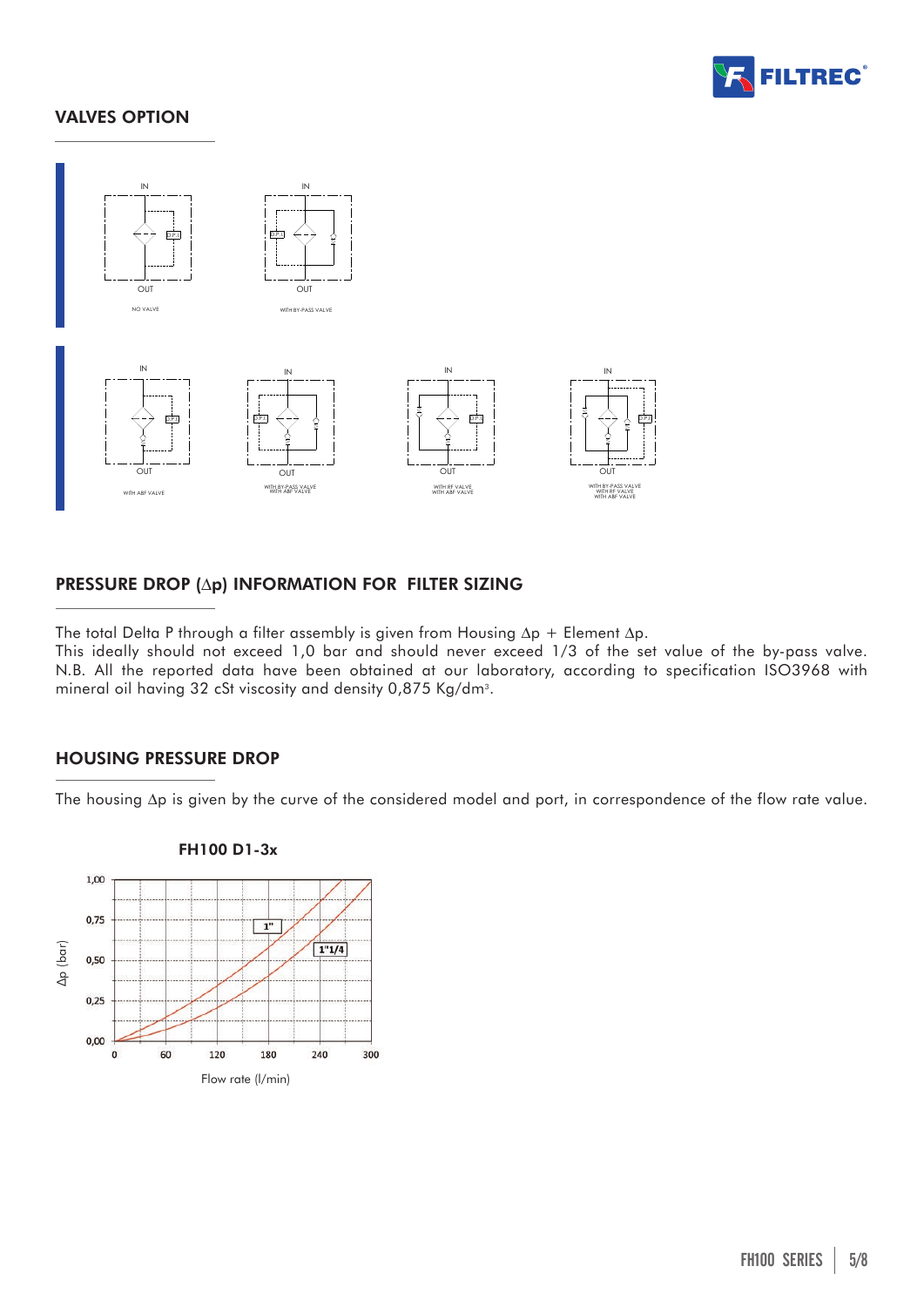

## VALVES OPTION



## PRESSURE DROP (∆p) INFORMATION FOR FILTER SIZING

The total Delta P through a filter assembly is given from Housing ∆p + Element ∆p.

 N.B. All the reported data have been obtained at our laboratory, according to specification ISO3968 with This ideally should not exceed 1,0 bar and should never exceed 1/3 of the set value of the by-pass valve. mineral oil having 32 cSt viscosity and density 0,875 Kg/dm3.

### HOUSING PRESSURE DROP

The housing ∆p is given by the curve of the considered model and port, in correspondence of the flow rate value.



#### FH100 D1-3x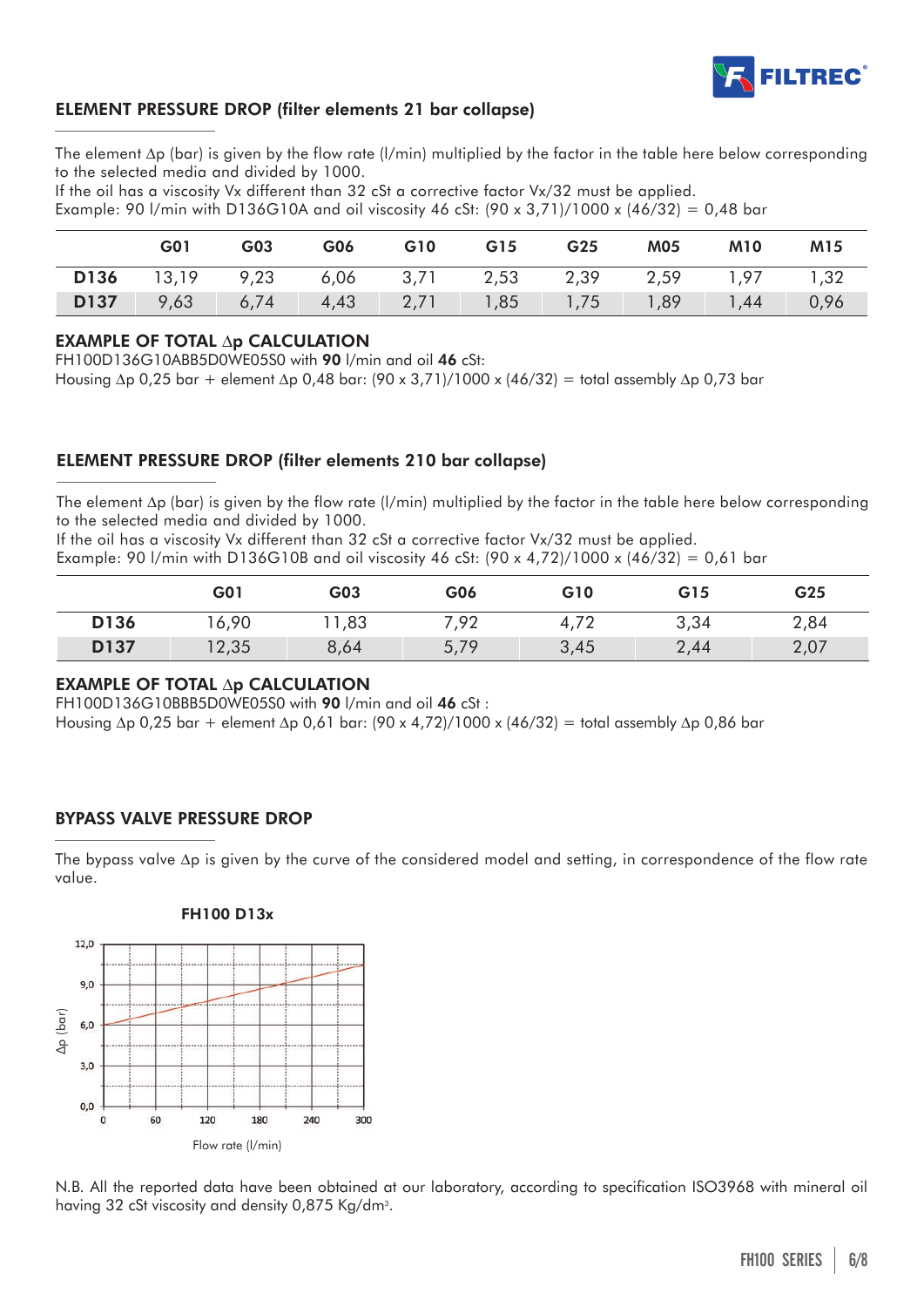

## ELEMENT PRESSURE DROP (filter elements 21 bar collapse)

The element ∆p (bar) is given by the flow rate (l/min) multiplied by the factor in the table here below corresponding to the selected media and divided by 1000.

If the oil has a viscosity Vx different than 32 cSt a corrective factor Vx/32 must be applied. Example: 90 l/min with D136G10A and oil viscosity 46 cSt:  $(90 \times 3,71)/1000 \times (46/32) = 0,48$  bar

| G <sub>0</sub> 1 | G03 | <b>G06</b> | G10 | G15                                                       | G25 | <b>M05</b> | <b>M10</b> | <b>M15</b> |
|------------------|-----|------------|-----|-----------------------------------------------------------|-----|------------|------------|------------|
|                  |     |            |     | <b>D136</b> 13,19 9,23 6,06 3,71 2,53 2,39 2,59 1,97 1,32 |     |            |            |            |
|                  |     |            |     | <b>D137</b> 9,63 6,74 4,43 2,71 1,85 1,75 1,89 1,44 0,96  |     |            |            |            |

#### EXAMPLE OF TOTAL ∆p CALCULATION

FH100D136G10ABB5D0WE05S0 with 90 l/min and oil 46 cSt:

Housing ∆p 0,25 bar + element ∆p 0,48 bar: (90 x 3,71)/1000 x (46/32) = total assembly ∆p 0,73 bar

#### ELEMENT PRESSURE DROP (filter elements 210 bar collapse)

The element ∆p (bar) is given by the flow rate (l/min) multiplied by the factor in the table here below corresponding to the selected media and divided by 1000.

If the oil has a viscosity Vx different than 32 cSt a corrective factor Vx/32 must be applied.

| Example: 90 I/min with D136G10B and oil viscosity 46 cSt: $(90 \times 4,72)/1000 \times (46/32) = 0,61$ bar |  |  |  |
|-------------------------------------------------------------------------------------------------------------|--|--|--|
|-------------------------------------------------------------------------------------------------------------|--|--|--|

|      | <b>G01</b> | G03   | G06  | G10  | G15  | G25  |
|------|------------|-------|------|------|------|------|
| D136 | 16,90      | 11,83 | 7,92 | 4,72 | 3,34 | 2,84 |
| D137 | 12,35      | 8,64  | 5,79 | 3,45 | 2,44 | 2,07 |

#### EXAMPLE OF TOTAL ∆p CALCULATION

FH100D136G10BBB5D0WE05S0 with 90 l/min and oil 46 cSt:

Housing ∆p 0,25 bar + element ∆p 0,61 bar: (90 x 4,72)/1000 x (46/32) = total assembly ∆p 0,86 bar

#### BYPASS VALVE PRESSURE DROP

The bypass valve ∆p is given by the curve of the considered model and setting, in correspondence of the flow rate value.



#### FH100 D13x

N.B. All the reported data have been obtained at our laboratory, according to specification ISO3968 with mineral oil having 32 cSt viscosity and density 0,875 Kg/dm<sup>3</sup>.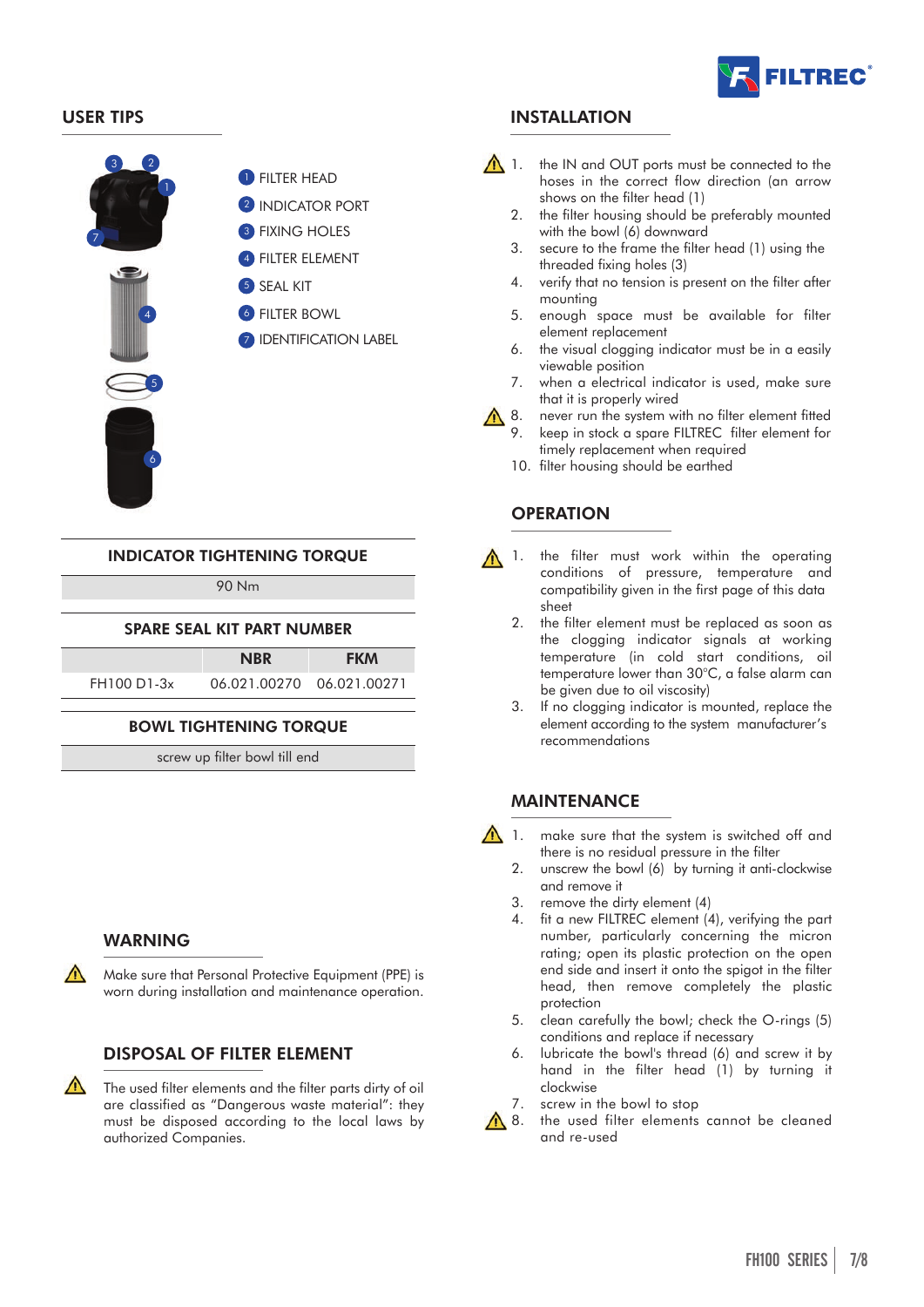



#### INDICATOR TIGHTENING TORQUE

90 Nm

#### SPARE SEAL KIT PART NUMBER

|             | <b>NBR</b>                | <b>FKM</b> |
|-------------|---------------------------|------------|
| FH100 D1-3x | 06.021.00270 06.021.00271 |            |

#### BOWL TIGHTENING TORQUE

screw up filter bowl till end

#### WARNING



### DISPOSAL OF FILTER ELEMENT

 $\bigwedge$  The used filter elements and the filter parts dirty of oil are classified as "Dangerous waste material": they must be disposed according to the local laws by authorized Companies.

#### USER TIPS **INSTALLATION**

- 1. the IN and OUT ports must be connected to the hoses in the correct flow direction (an arrow shows on the filter head (1)
	- 2. the filter housing should be preferably mounted with the bowl (6) downward
	- 3. secure to the frame the filter head (1) using the threaded fixing holes (3)
	- 4. verify that no tension is present on the filter after mounting
	- 5. enough space must be available for filter element replacement
	- 6. the visual clogging indicator must be in a easily viewable position
	- 7. when a electrical indicator is used, make sure that it is properly wired
- $\bigwedge$  8. never run the system with no filter element fitted 9. keep in stock a spare FILTREC filter element for timely replacement when required
	- 10. filter housing should be earthed

#### **OPERATION**

- 1. the filter must work within the operating conditions of pressure, temperature and compatibility given in the first page of this data sheet
	- 2. the filter element must be replaced as soon as the clogging indicator signals at working temperature (in cold start conditions, oil temperature lower than 30°C, a false alarm can be given due to oil viscosity)
	- 3. If no clogging indicator is mounted, replace the element according to the system manufacturer's recommendations

#### MAINTENANCE

- 1. make sure that the system is switched off and there is no residual pressure in the filter
	- 2. unscrew the bowl (6) by turning it anti-clockwise and remove it
	- 3. remove the dirty element (4)
	- 4. fit a new FILTREC element (4), verifying the part number, particularly concerning the micron rating; open its plastic protection on the open end side and insert it onto the spigot in the filter head, then remove completely the plastic protection
	- 5. clean carefully the bowl; check the O-rings (5) conditions and replace if necessary
	- 6. lubricate the bowl's thread (6) and screw it by hand in the filter head (1) by turning it clockwise
	- 7. screw in the bowl to stop
- **8.** the used filter elements cannot be cleaned and re-used